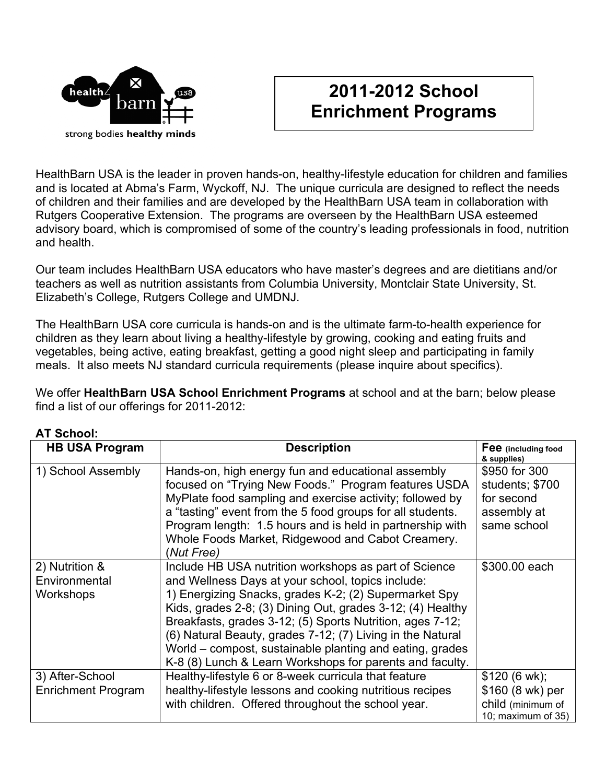

## **2011-2012 School Enrichment Programs**

HealthBarn USA is the leader in proven hands-on, healthy-lifestyle education for children and families and is located at Abma's Farm, Wyckoff, NJ. The unique curricula are designed to reflect the needs of children and their families and are developed by the HealthBarn USA team in collaboration with Rutgers Cooperative Extension. The programs are overseen by the HealthBarn USA esteemed advisory board, which is compromised of some of the country's leading professionals in food, nutrition and health.

Our team includes HealthBarn USA educators who have master's degrees and are dietitians and/or teachers as well as nutrition assistants from Columbia University, Montclair State University, St. Elizabeth's College, Rutgers College and UMDNJ.

The HealthBarn USA core curricula is hands-on and is the ultimate farm-to-health experience for children as they learn about living a healthy-lifestyle by growing, cooking and eating fruits and vegetables, being active, eating breakfast, getting a good night sleep and participating in family meals. It also meets NJ standard curricula requirements (please inquire about specifics).

We offer **HealthBarn USA School Enrichment Programs** at school and at the barn; below please find a list of our offerings for 2011-2012:

| <b>HB USA Program</b>                        | <b>Description</b>                                                                                                                                                                                                                                                                                                                                                                                                                                                                   | Fee (including food<br>& supplies)                                           |
|----------------------------------------------|--------------------------------------------------------------------------------------------------------------------------------------------------------------------------------------------------------------------------------------------------------------------------------------------------------------------------------------------------------------------------------------------------------------------------------------------------------------------------------------|------------------------------------------------------------------------------|
| 1) School Assembly                           | Hands-on, high energy fun and educational assembly<br>focused on "Trying New Foods." Program features USDA<br>MyPlate food sampling and exercise activity; followed by<br>a "tasting" event from the 5 food groups for all students.<br>Program length: 1.5 hours and is held in partnership with<br>Whole Foods Market, Ridgewood and Cabot Creamery.<br>(Nut Free)                                                                                                                 | \$950 for 300<br>students; \$700<br>for second<br>assembly at<br>same school |
| 2) Nutrition &<br>Environmental<br>Workshops | Include HB USA nutrition workshops as part of Science<br>and Wellness Days at your school, topics include:<br>1) Energizing Snacks, grades K-2; (2) Supermarket Spy<br>Kids, grades 2-8; (3) Dining Out, grades 3-12; (4) Healthy<br>Breakfasts, grades 3-12; (5) Sports Nutrition, ages 7-12;<br>(6) Natural Beauty, grades 7-12; (7) Living in the Natural<br>World – compost, sustainable planting and eating, grades<br>K-8 (8) Lunch & Learn Workshops for parents and faculty. | \$300.00 each                                                                |
| 3) After-School<br><b>Enrichment Program</b> | Healthy-lifestyle 6 or 8-week curricula that feature<br>healthy-lifestyle lessons and cooking nutritious recipes<br>with children. Offered throughout the school year.                                                                                                                                                                                                                                                                                                               | \$120 (6 wk);<br>\$160 (8 wk) per<br>child (minimum of<br>10; maximum of 35) |

## **AT School:**